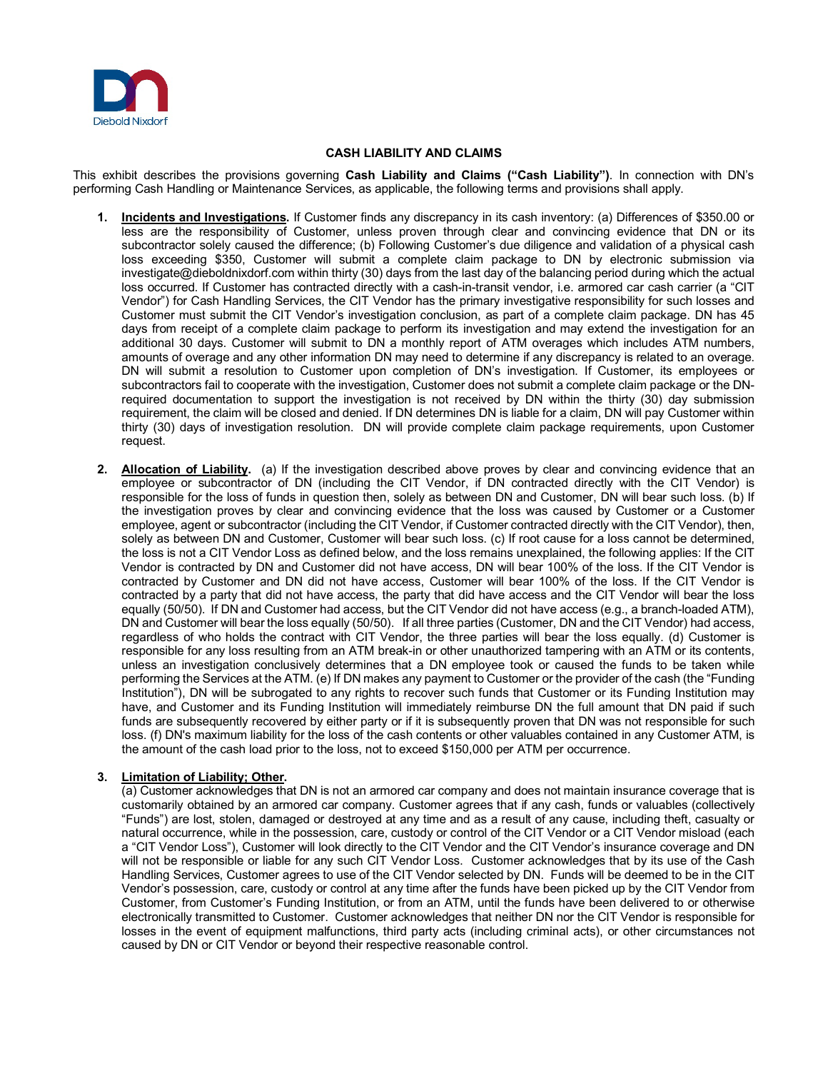

## **CASH LIABILITY AND CLAIMS**

This exhibit describes the provisions governing **Cash Liability and Claims ("Cash Liability")**. In connection with DN's performing Cash Handling or Maintenance Services, as applicable, the following terms and provisions shall apply.

- **1. Incidents and Investigations.** If Customer finds any discrepancy in its cash inventory: (a) Differences of \$350.00 or less are the responsibility of Customer, unless proven through clear and convincing evidence that DN or its subcontractor solely caused the difference; (b) Following Customer's due diligence and validation of a physical cash loss exceeding \$350, Customer will submit a complete claim package to DN by electronic submission via investigate@dieboldnixdorf.com within thirty (30) days from the last day of the balancing period during which the actual loss occurred. If Customer has contracted directly with a cash-in-transit vendor, i.e. armored car cash carrier (a "CIT Vendor") for Cash Handling Services, the CIT Vendor has the primary investigative responsibility for such losses and Customer must submit the CIT Vendor's investigation conclusion, as part of a complete claim package. DN has 45 days from receipt of a complete claim package to perform its investigation and may extend the investigation for an additional 30 days. Customer will submit to DN a monthly report of ATM overages which includes ATM numbers, amounts of overage and any other information DN may need to determine if any discrepancy is related to an overage. DN will submit a resolution to Customer upon completion of DN's investigation. If Customer, its employees or subcontractors fail to cooperate with the investigation, Customer does not submit a complete claim package or the DNrequired documentation to support the investigation is not received by DN within the thirty (30) day submission requirement, the claim will be closed and denied. If DN determines DN is liable for a claim, DN will pay Customer within thirty (30) days of investigation resolution. DN will provide complete claim package requirements, upon Customer request.
- **2. Allocation of Liability.** (a) If the investigation described above proves by clear and convincing evidence that an employee or subcontractor of DN (including the CIT Vendor, if DN contracted directly with the CIT Vendor) is responsible for the loss of funds in question then, solely as between DN and Customer, DN will bear such loss. (b) If the investigation proves by clear and convincing evidence that the loss was caused by Customer or a Customer employee, agent or subcontractor (including the CIT Vendor, if Customer contracted directly with the CIT Vendor), then, solely as between DN and Customer, Customer will bear such loss. (c) If root cause for a loss cannot be determined, the loss is not a CIT Vendor Loss as defined below, and the loss remains unexplained, the following applies: If the CIT Vendor is contracted by DN and Customer did not have access, DN will bear 100% of the loss. If the CIT Vendor is contracted by Customer and DN did not have access, Customer will bear 100% of the loss. If the CIT Vendor is contracted by a party that did not have access, the party that did have access and the CIT Vendor will bear the loss equally (50/50). If DN and Customer had access, but the CIT Vendor did not have access (e.g., a branch-loaded ATM), DN and Customer will bear the loss equally (50/50). If all three parties (Customer, DN and the CIT Vendor) had access, regardless of who holds the contract with CIT Vendor, the three parties will bear the loss equally. (d) Customer is responsible for any loss resulting from an ATM break-in or other unauthorized tampering with an ATM or its contents, unless an investigation conclusively determines that a DN employee took or caused the funds to be taken while performing the Services at the ATM. (e) If DN makes any payment to Customer or the provider of the cash (the "Funding Institution"), DN will be subrogated to any rights to recover such funds that Customer or its Funding Institution may have, and Customer and its Funding Institution will immediately reimburse DN the full amount that DN paid if such funds are subsequently recovered by either party or if it is subsequently proven that DN was not responsible for such loss. (f) DN's maximum liability for the loss of the cash contents or other valuables contained in any Customer ATM, is the amount of the cash load prior to the loss, not to exceed \$150,000 per ATM per occurrence.

## **3. Limitation of Liability; Other.**

(a) Customer acknowledges that DN is not an armored car company and does not maintain insurance coverage that is customarily obtained by an armored car company. Customer agrees that if any cash, funds or valuables (collectively "Funds") are lost, stolen, damaged or destroyed at any time and as a result of any cause, including theft, casualty or natural occurrence, while in the possession, care, custody or control of the CIT Vendor or a CIT Vendor misload (each a "CIT Vendor Loss"), Customer will look directly to the CIT Vendor and the CIT Vendor's insurance coverage and DN will not be responsible or liable for any such CIT Vendor Loss. Customer acknowledges that by its use of the Cash Handling Services, Customer agrees to use of the CIT Vendor selected by DN. Funds will be deemed to be in the CIT Vendor's possession, care, custody or control at any time after the funds have been picked up by the CIT Vendor from Customer, from Customer's Funding Institution, or from an ATM, until the funds have been delivered to or otherwise electronically transmitted to Customer. Customer acknowledges that neither DN nor the CIT Vendor is responsible for losses in the event of equipment malfunctions, third party acts (including criminal acts), or other circumstances not caused by DN or CIT Vendor or beyond their respective reasonable control.